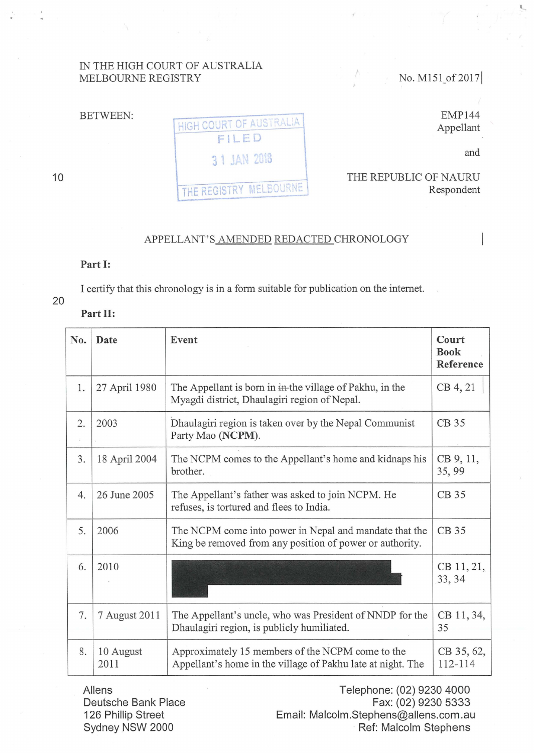## IN THE HIGH COURT OF AUSTRALIA MELBOURNE REGISTRY

No. M151\_of 2017

BETWEEN:

HIGH COURT OF AUSTRALIA 3 1 JAN 2018 THE REPUBLIC OF NAURU THE REGISTRY MELBOURNE

and

Respondent

EMP144 Appellant

APPELLANT'S AMENDED REDACTED CHRONOLOGY

## Part 1:

Part II:

I certify that this chronology is in a form suitable for publication on the intemet.

## 20

| No. | Date              | Event                                                                                                              | Court<br><b>Book</b><br>Reference |
|-----|-------------------|--------------------------------------------------------------------------------------------------------------------|-----------------------------------|
| 1.  | 27 April 1980     | The Appellant is born in in-the village of Pakhu, in the<br>Myagdi district, Dhaulagiri region of Nepal.           | CB 4, 21                          |
| 2.  | 2003              | Dhaulagiri region is taken over by the Nepal Communist<br>Party Mao (NCPM).                                        | CB 35                             |
| 3.  | 18 April 2004     | The NCPM comes to the Appellant's home and kidnaps his<br>brother.                                                 | CB 9, 11,<br>35,99                |
| 4.  | 26 June 2005      | The Appellant's father was asked to join NCPM. He<br>refuses, is tortured and flees to India.                      | CB 35                             |
| 5.  | 2006              | The NCPM come into power in Nepal and mandate that the<br>King be removed from any position of power or authority. | CB 35                             |
| 6.  | 2010              |                                                                                                                    | CB 11, 21,<br>33, 34              |
| 7.  | 7 August 2011     | The Appellant's uncle, who was President of NNDP for the<br>Dhaulagiri region, is publicly humiliated.             | CB 11, 34,<br>35                  |
| 8.  | 10 August<br>2011 | Approximately 15 members of the NCPM come to the<br>Appellant's home in the village of Pakhu late at night. The    | CB 35, 62,<br>112-114             |

Aliens Deutsche Bank Place 126 Phillip Street Sydney NSW 2000

Telephone: (02) 9230 4000 Fax: (02) 9230 5333 Email: Malcolm .Stephens@allens.com .au Ref: Malcolm Stephens

10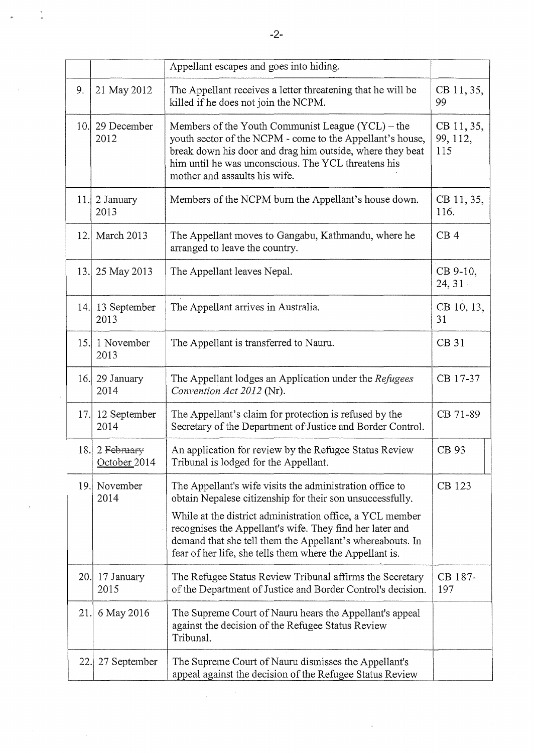|      |                            | Appellant escapes and goes into hiding.                                                                                                                                                                                                                                                                                                                                 |                               |
|------|----------------------------|-------------------------------------------------------------------------------------------------------------------------------------------------------------------------------------------------------------------------------------------------------------------------------------------------------------------------------------------------------------------------|-------------------------------|
| 9.   | 21 May 2012                | The Appellant receives a letter threatening that he will be<br>killed if he does not join the NCPM.                                                                                                                                                                                                                                                                     | CB 11, 35,<br>99              |
| 10.1 | 29 December<br>2012        | Members of the Youth Communist League (YCL) – the<br>youth sector of the NCPM - come to the Appellant's house,<br>break down his door and drag him outside, where they beat<br>him until he was unconscious. The YCL threatens his<br>mother and assaults his wife.                                                                                                     | CB 11, 35,<br>99, 112,<br>115 |
| 11.  | 2 January<br>2013          | Members of the NCPM burn the Appellant's house down.                                                                                                                                                                                                                                                                                                                    | CB 11, 35,<br>116.            |
| 12.1 | March 2013                 | The Appellant moves to Gangabu, Kathmandu, where he<br>arranged to leave the country.                                                                                                                                                                                                                                                                                   | CB <sub>4</sub>               |
|      | 13. 25 May 2013            | The Appellant leaves Nepal.                                                                                                                                                                                                                                                                                                                                             | CB 9-10,<br>24, 31            |
|      | 14. 13 September<br>2013   | The Appellant arrives in Australia.                                                                                                                                                                                                                                                                                                                                     | CB 10, 13,<br>31              |
| 15.  | 1 November<br>2013         | The Appellant is transferred to Nauru.                                                                                                                                                                                                                                                                                                                                  | <b>CB 31</b>                  |
|      | 16. 29 January<br>2014     | The Appellant lodges an Application under the Refugees<br>Convention Act 2012 (Nr).                                                                                                                                                                                                                                                                                     | CB 17-37                      |
|      | 17. 12 September<br>2014   | The Appellant's claim for protection is refused by the<br>Secretary of the Department of Justice and Border Control.                                                                                                                                                                                                                                                    | CB 71-89                      |
| 18.  | 2 February<br>October 2014 | An application for review by the Refugee Status Review<br>Tribunal is lodged for the Appellant.                                                                                                                                                                                                                                                                         | CB 93                         |
| 19.  | November<br>2014           | The Appellant's wife visits the administration office to<br>obtain Nepalese citizenship for their son unsuccessfully.<br>While at the district administration office, a YCL member<br>recognises the Appellant's wife. They find her later and<br>demand that she tell them the Appellant's whereabouts. In<br>fear of her life, she tells them where the Appellant is. | CB 123                        |
|      | $20.$   17 January<br>2015 | The Refugee Status Review Tribunal affirms the Secretary<br>of the Department of Justice and Border Control's decision.                                                                                                                                                                                                                                                 | CB 187-<br>197                |
| 21.  | 6 May 2016                 | The Supreme Court of Nauru hears the Appellant's appeal<br>against the decision of the Refugee Status Review<br>Tribunal.                                                                                                                                                                                                                                               |                               |
| 22.1 | 27 September               | The Supreme Court of Nauru dismisses the Appellant's<br>appeal against the decision of the Refugee Status Review                                                                                                                                                                                                                                                        |                               |

 $\frac{a}{\pi}$